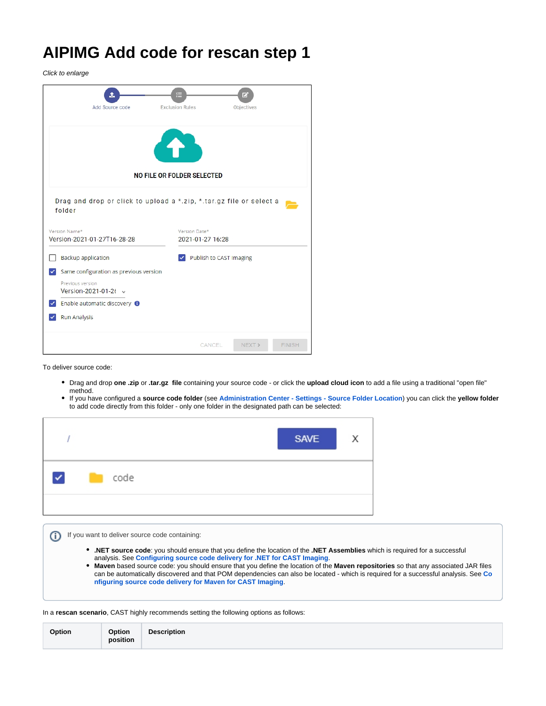## **AIPIMG Add code for rescan step 1**

Click to enlarge

| t.<br>Add Source code                                                              | €<br><b>Exclusion Rules</b>       |                         | 囪<br>Objectives |  |
|------------------------------------------------------------------------------------|-----------------------------------|-------------------------|-----------------|--|
|                                                                                    |                                   |                         |                 |  |
|                                                                                    | NO FILE OR FOLDER SELECTED        |                         |                 |  |
| Drag and drop or click to upload a *.zip, *.tar.gz file or select a<br>folder      |                                   |                         |                 |  |
| Version Name*<br>Version-2021-01-27T16-28-28                                       | Version Date*<br>2021-01-27 16:28 |                         |                 |  |
| Backup application                                                                 |                                   | Publish to CAST Imaging |                 |  |
| Same configuration as previous version<br>Previous version<br>Version-2021-01-26 v |                                   |                         |                 |  |
| Enable automatic discovery <sup>8</sup>                                            |                                   |                         |                 |  |
| <b>Run Analysis</b>                                                                |                                   |                         |                 |  |
|                                                                                    |                                   |                         |                 |  |

To deliver source code:

O)

- Drag and drop **one .zip** or **.tar.gz file** containing your source code or click the **upload cloud icon** to add a file using a traditional "open file" method.
- If you have configured a **source code folder** (see **[Administration Center Settings Source Folder Location](https://doc.castsoftware.com/display/AIPCONSOLE/Administration+Center+-+Settings+-+Source+Folder+Location)**) you can click the **yellow folder** to add code directly from this folder - only one folder in the designated path can be selected:

|                      |      | <b>SAVE</b> | $\times$ |
|----------------------|------|-------------|----------|
| $\blacktriangledown$ | code |             |          |
|                      |      |             |          |

If you want to deliver source code containing:

- **.NET source code**: you should ensure that you define the location of the **.NET Assemblies** which is required for a successful analysis. See **[Configuring source code delivery for .NET for CAST Imaging](https://doc.castsoftware.com/display/IMAGING/Configuring+source+code+delivery+for+.NET+for+CAST+Imaging)**.
- **Maven** based source code: you should ensure that you define the location of the **Maven repositories** so that any associated JAR files can be automatically discovered and that POM dependencies can also be located - which is required for a successful analysis. See **[Co](https://doc.castsoftware.com/display/IMAGING/Configuring+source+code+delivery+for+Maven+for+CAST+Imaging) [nfiguring source code delivery for Maven for CAST Imaging](https://doc.castsoftware.com/display/IMAGING/Configuring+source+code+delivery+for+Maven+for+CAST+Imaging)**.

In a **rescan scenario**, CAST highly recommends setting the following options as follows:

|--|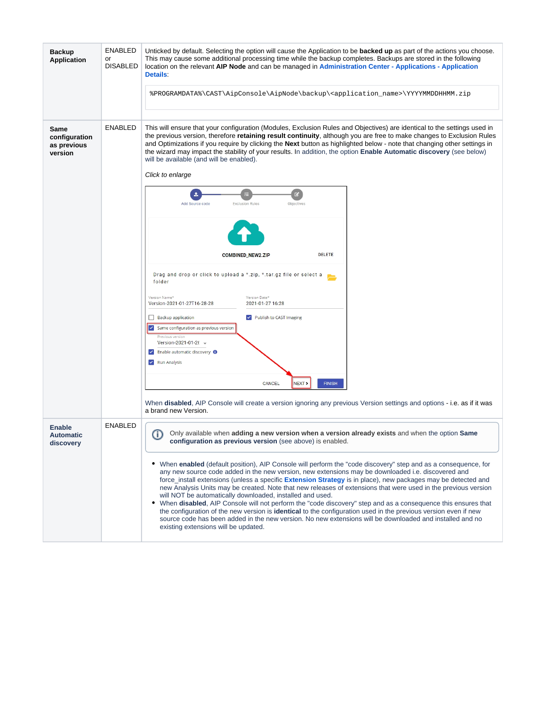| <b>Backup</b><br><b>Application</b>             | <b>ENABLED</b><br>or<br><b>DISABLED</b> | Unticked by default. Selecting the option will cause the Application to be <b>backed up</b> as part of the actions you choose.<br>This may cause some additional processing time while the backup completes. Backups are stored in the following<br>location on the relevant AIP Node and can be managed in Administration Center - Applications - Application<br>Details:                                                                                                                                                                                                                                                                                                                                                                                                                                                                                                                                                                                                                                                                                                                                                |  |
|-------------------------------------------------|-----------------------------------------|---------------------------------------------------------------------------------------------------------------------------------------------------------------------------------------------------------------------------------------------------------------------------------------------------------------------------------------------------------------------------------------------------------------------------------------------------------------------------------------------------------------------------------------------------------------------------------------------------------------------------------------------------------------------------------------------------------------------------------------------------------------------------------------------------------------------------------------------------------------------------------------------------------------------------------------------------------------------------------------------------------------------------------------------------------------------------------------------------------------------------|--|
|                                                 |                                         | %PROGRAMDATA%\CAST\AipConsole\AipNode\backup\ <application_name>\YYYYMMDDHHMM.zip</application_name>                                                                                                                                                                                                                                                                                                                                                                                                                                                                                                                                                                                                                                                                                                                                                                                                                                                                                                                                                                                                                      |  |
| Same<br>configuration<br>as previous<br>version | <b>ENABLED</b>                          | This will ensure that your configuration (Modules, Exclusion Rules and Objectives) are identical to the settings used in<br>the previous version, therefore retaining result continuity, although you are free to make changes to Exclusion Rules<br>and Optimizations if you require by clicking the <b>Next</b> button as highlighted below - note that changing other settings in<br>the wizard may impact the stability of your results. In addition, the option Enable Automatic discovery (see below)<br>will be available (and will be enabled).<br>Click to enlarge<br>土<br>囜<br>Add Source code<br><b>Exclusion Rules</b><br>Objectives<br><b>DELETE</b><br>COMBINED_NEW2.ZIP<br>Drag and drop or click to upload a *.zip, *.tar.gz file or select a<br>folder<br>Version Name*<br>Version Date*<br>Version-2021-01-27T16-28-28<br>2021-01-27 16:28<br>Backup application<br>v Publish to CAST Imaging<br>$\checkmark$ Same configuration as previous version<br>Previous version<br>Version-2021-01-26 v<br>Enable automatic discovery <b>O</b><br>v Run Analysis<br>CANCEL<br><b>NEXT&gt;</b><br><b>FINISH</b> |  |
|                                                 |                                         | When disabled, AIP Console will create a version ignoring any previous Version settings and options - i.e. as if it was<br>a brand new Version.                                                                                                                                                                                                                                                                                                                                                                                                                                                                                                                                                                                                                                                                                                                                                                                                                                                                                                                                                                           |  |
| <b>Enable</b><br><b>Automatic</b><br>discovery  | <b>ENABLED</b>                          | ⋒<br>Only available when adding a new version when a version already exists and when the option Same<br>configuration as previous version (see above) is enabled.<br>When <b>enabled</b> (default position), AIP Console will perform the "code discovery" step and as a consequence, for<br>any new source code added in the new version, new extensions may be downloaded i.e. discovered and<br>force_install extensions (unless a specific <b>Extension Strategy</b> is in place), new packages may be detected and<br>new Analysis Units may be created. Note that new releases of extensions that were used in the previous version<br>will NOT be automatically downloaded, installed and used.<br>When disabled, AIP Console will not perform the "code discovery" step and as a consequence this ensures that<br>٠<br>the configuration of the new version is <b>identical</b> to the configuration used in the previous version even if new<br>source code has been added in the new version. No new extensions will be downloaded and installed and no<br>existing extensions will be updated.                 |  |